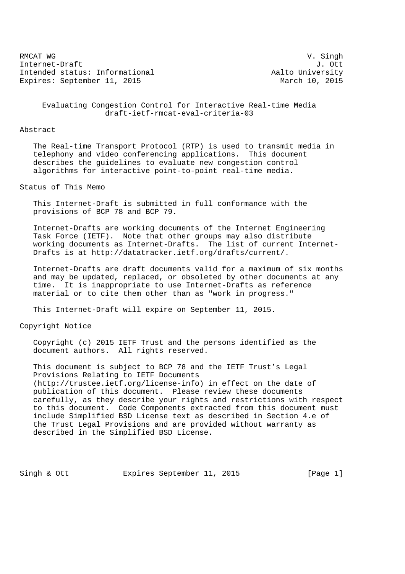RMCAT WG SING CONTROLLER SERVICE SERVICE SUPERIOR CONTROLLER SUPERIOR V. SING N Internet-Draft J. Ott Intended status: Informational and Aalto University Expires: September 11, 2015 March 10, 2015

 Evaluating Congestion Control for Interactive Real-time Media draft-ietf-rmcat-eval-criteria-03

#### Abstract

 The Real-time Transport Protocol (RTP) is used to transmit media in telephony and video conferencing applications. This document describes the guidelines to evaluate new congestion control algorithms for interactive point-to-point real-time media.

Status of This Memo

 This Internet-Draft is submitted in full conformance with the provisions of BCP 78 and BCP 79.

 Internet-Drafts are working documents of the Internet Engineering Task Force (IETF). Note that other groups may also distribute working documents as Internet-Drafts. The list of current Internet- Drafts is at http://datatracker.ietf.org/drafts/current/.

 Internet-Drafts are draft documents valid for a maximum of six months and may be updated, replaced, or obsoleted by other documents at any time. It is inappropriate to use Internet-Drafts as reference material or to cite them other than as "work in progress."

This Internet-Draft will expire on September 11, 2015.

Copyright Notice

 Copyright (c) 2015 IETF Trust and the persons identified as the document authors. All rights reserved.

 This document is subject to BCP 78 and the IETF Trust's Legal Provisions Relating to IETF Documents (http://trustee.ietf.org/license-info) in effect on the date of publication of this document. Please review these documents carefully, as they describe your rights and restrictions with respect to this document. Code Components extracted from this document must include Simplified BSD License text as described in Section 4.e of the Trust Legal Provisions and are provided without warranty as described in the Simplified BSD License.

Singh & Ott Expires September 11, 2015 [Page 1]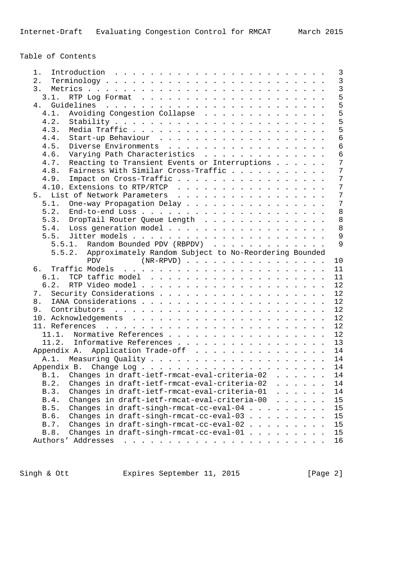Table of Contents

| 1.                                                                                                                                                                                                                                                     |  |  |                    | $\mathbf{3}$    |
|--------------------------------------------------------------------------------------------------------------------------------------------------------------------------------------------------------------------------------------------------------|--|--|--------------------|-----------------|
| 2.                                                                                                                                                                                                                                                     |  |  |                    | $\mathbf{3}$    |
| 3.                                                                                                                                                                                                                                                     |  |  |                    | $\overline{3}$  |
| 3.1.                                                                                                                                                                                                                                                   |  |  |                    | 5               |
|                                                                                                                                                                                                                                                        |  |  |                    | 5               |
| Avoiding Congestion Collapse<br>4.1.                                                                                                                                                                                                                   |  |  |                    | 5               |
| 4.2.                                                                                                                                                                                                                                                   |  |  |                    | 5               |
| 4.3.                                                                                                                                                                                                                                                   |  |  |                    | 5               |
| 4.4.                                                                                                                                                                                                                                                   |  |  |                    | $\overline{6}$  |
| Diverse Environments<br>4.5.                                                                                                                                                                                                                           |  |  |                    | 6               |
| Varying Path Characteristics<br>4.6.                                                                                                                                                                                                                   |  |  |                    | 6               |
|                                                                                                                                                                                                                                                        |  |  |                    | $7\overline{ }$ |
| Reacting to Transient Events or Interruptions<br>4.7.                                                                                                                                                                                                  |  |  |                    | $7\overline{ }$ |
| Fairness With Similar Cross-Traffic<br>4.8.                                                                                                                                                                                                            |  |  |                    |                 |
| Impact on Cross-Traffic<br>4.9.                                                                                                                                                                                                                        |  |  |                    | $7\overline{ }$ |
| 4.10. Extensions to RTP/RTCP                                                                                                                                                                                                                           |  |  |                    | 7               |
| 5. List of Network Parameters                                                                                                                                                                                                                          |  |  |                    | $7\overline{ }$ |
| 5.1.<br>One-way Propagation Delay                                                                                                                                                                                                                      |  |  |                    | 7               |
| 5.2.                                                                                                                                                                                                                                                   |  |  |                    | 8               |
| DropTail Router Queue Length<br>5.3.                                                                                                                                                                                                                   |  |  |                    | 8               |
| 5.4. Loss generation model                                                                                                                                                                                                                             |  |  |                    | 8               |
|                                                                                                                                                                                                                                                        |  |  |                    | 9               |
| 5.5.1. Random Bounded PDV (RBPDV)                                                                                                                                                                                                                      |  |  |                    | $\overline{9}$  |
| 5.5.2. Approximately Random Subject to No-Reordering Bounded                                                                                                                                                                                           |  |  |                    |                 |
| PDV (NR-RPVD)                                                                                                                                                                                                                                          |  |  | 10                 |                 |
| Traffic Models<br>ნ.<br>and the contract of the contract of the contract of the contract of the contract of the contract of the contract of the contract of the contract of the contract of the contract of the contract of the contract of the contra |  |  | 11                 |                 |
| 6.1.                                                                                                                                                                                                                                                   |  |  | 11                 |                 |
| 6.2.                                                                                                                                                                                                                                                   |  |  | 12                 |                 |
| 7.                                                                                                                                                                                                                                                     |  |  | 12                 |                 |
|                                                                                                                                                                                                                                                        |  |  | 12                 |                 |
| 8.                                                                                                                                                                                                                                                     |  |  |                    |                 |
| 9.                                                                                                                                                                                                                                                     |  |  | 12                 |                 |
|                                                                                                                                                                                                                                                        |  |  | 12                 |                 |
|                                                                                                                                                                                                                                                        |  |  | 12                 |                 |
| Normative References<br>11.1.                                                                                                                                                                                                                          |  |  | 12                 |                 |
| 11.2. Informative References                                                                                                                                                                                                                           |  |  | 13                 |                 |
| Appendix A. Application Trade-off                                                                                                                                                                                                                      |  |  | 14                 |                 |
|                                                                                                                                                                                                                                                        |  |  | 14                 |                 |
|                                                                                                                                                                                                                                                        |  |  | 14                 |                 |
| B.1. Changes in draft-ietf-rmcat-eval-criteria-02                                                                                                                                                                                                      |  |  | $\cdot$ $\cdot$ 14 |                 |
| Changes in draft-ietf-rmcat-eval-criteria-02<br>B.2.                                                                                                                                                                                                   |  |  | 14                 |                 |
| Changes in draft-ietf-rmcat-eval-criteria-01<br>B.3.                                                                                                                                                                                                   |  |  | 14                 |                 |
| Changes in draft-ietf-rmcat-eval-criteria-00<br>B.4.                                                                                                                                                                                                   |  |  | 15                 |                 |
| Changes in draft-singh-rmcat-cc-eval-04<br>B.5.<br>$\sim$ $\sim$ $\sim$                                                                                                                                                                                |  |  | 15                 |                 |
| B.6.<br>Changes in draft-singh-rmcat-cc-eval-03                                                                                                                                                                                                        |  |  | 15                 |                 |
| <b>B.7.</b><br>Changes in draft-singh-rmcat-cc-eval-02                                                                                                                                                                                                 |  |  | 15                 |                 |
| Changes in draft-singh-rmcat-cc-eval-01<br>B.8.                                                                                                                                                                                                        |  |  | 15                 |                 |
| Authors' Addresses<br>.                                                                                                                                                                                                                                |  |  | 16                 |                 |
|                                                                                                                                                                                                                                                        |  |  |                    |                 |

Singh & Ott **Expires September 11, 2015** [Page 2]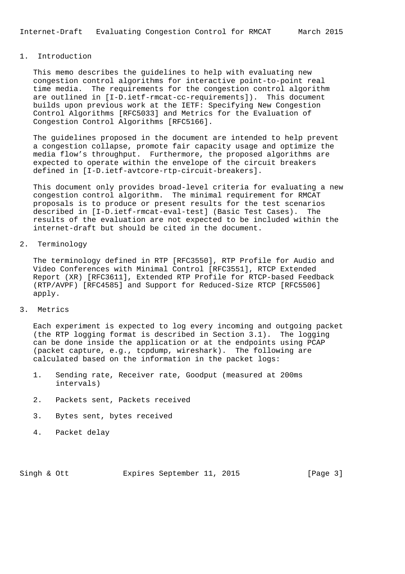# 1. Introduction

 This memo describes the guidelines to help with evaluating new congestion control algorithms for interactive point-to-point real time media. The requirements for the congestion control algorithm are outlined in [I-D.ietf-rmcat-cc-requirements]). This document builds upon previous work at the IETF: Specifying New Congestion Control Algorithms [RFC5033] and Metrics for the Evaluation of Congestion Control Algorithms [RFC5166].

 The guidelines proposed in the document are intended to help prevent a congestion collapse, promote fair capacity usage and optimize the media flow's throughput. Furthermore, the proposed algorithms are expected to operate within the envelope of the circuit breakers defined in [I-D.ietf-avtcore-rtp-circuit-breakers].

 This document only provides broad-level criteria for evaluating a new congestion control algorithm. The minimal requirement for RMCAT proposals is to produce or present results for the test scenarios described in [I-D.ietf-rmcat-eval-test] (Basic Test Cases). The results of the evaluation are not expected to be included within the internet-draft but should be cited in the document.

2. Terminology

 The terminology defined in RTP [RFC3550], RTP Profile for Audio and Video Conferences with Minimal Control [RFC3551], RTCP Extended Report (XR) [RFC3611], Extended RTP Profile for RTCP-based Feedback (RTP/AVPF) [RFC4585] and Support for Reduced-Size RTCP [RFC5506] apply.

3. Metrics

 Each experiment is expected to log every incoming and outgoing packet (the RTP logging format is described in Section 3.1). The logging can be done inside the application or at the endpoints using PCAP (packet capture, e.g., tcpdump, wireshark). The following are calculated based on the information in the packet logs:

- 1. Sending rate, Receiver rate, Goodput (measured at 200ms intervals)
- 2. Packets sent, Packets received
- 3. Bytes sent, bytes received
- 4. Packet delay

Singh & Ott **Expires September 11, 2015** [Page 3]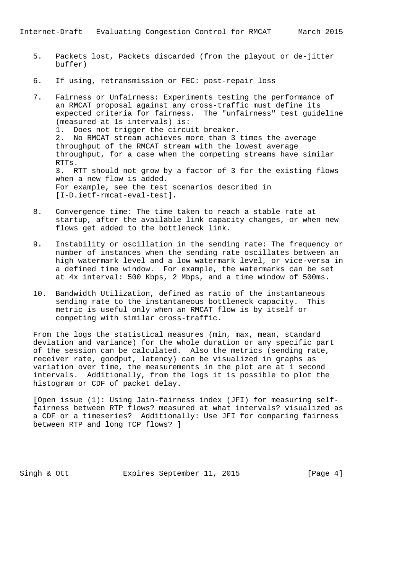- 5. Packets lost, Packets discarded (from the playout or de-jitter buffer)
- 6. If using, retransmission or FEC: post-repair loss
- 7. Fairness or Unfairness: Experiments testing the performance of an RMCAT proposal against any cross-traffic must define its expected criteria for fairness. The "unfairness" test guideline (measured at 1s intervals) is: 1. Does not trigger the circuit breaker. 2. No RMCAT stream achieves more than 3 times the average throughput of the RMCAT stream with the lowest average throughput, for a case when the competing streams have similar RTTs. 3. RTT should not grow by a factor of 3 for the existing flows when a new flow is added. For example, see the test scenarios described in [I-D.ietf-rmcat-eval-test].
- 8. Convergence time: The time taken to reach a stable rate at startup, after the available link capacity changes, or when new flows get added to the bottleneck link.
- 9. Instability or oscillation in the sending rate: The frequency or number of instances when the sending rate oscillates between an high watermark level and a low watermark level, or vice-versa in a defined time window. For example, the watermarks can be set at 4x interval: 500 Kbps, 2 Mbps, and a time window of 500ms.
- 10. Bandwidth Utilization, defined as ratio of the instantaneous sending rate to the instantaneous bottleneck capacity. This metric is useful only when an RMCAT flow is by itself or competing with similar cross-traffic.

 From the logs the statistical measures (min, max, mean, standard deviation and variance) for the whole duration or any specific part of the session can be calculated. Also the metrics (sending rate, receiver rate, goodput, latency) can be visualized in graphs as variation over time, the measurements in the plot are at 1 second intervals. Additionally, from the logs it is possible to plot the histogram or CDF of packet delay.

 [Open issue (1): Using Jain-fairness index (JFI) for measuring self fairness between RTP flows? measured at what intervals? visualized as a CDF or a timeseries? Additionally: Use JFI for comparing fairness between RTP and long TCP flows? ]

Singh & Ott **Expires September 11, 2015** [Page 4]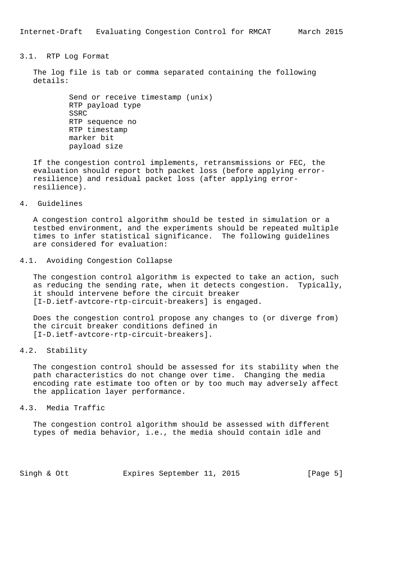## 3.1. RTP Log Format

 The log file is tab or comma separated containing the following details:

> Send or receive timestamp (unix) RTP payload type SSRC RTP sequence no RTP timestamp marker bit payload size

 If the congestion control implements, retransmissions or FEC, the evaluation should report both packet loss (before applying error resilience) and residual packet loss (after applying error resilience).

# 4. Guidelines

 A congestion control algorithm should be tested in simulation or a testbed environment, and the experiments should be repeated multiple times to infer statistical significance. The following guidelines are considered for evaluation:

#### 4.1. Avoiding Congestion Collapse

 The congestion control algorithm is expected to take an action, such as reducing the sending rate, when it detects congestion. Typically, it should intervene before the circuit breaker [I-D.ietf-avtcore-rtp-circuit-breakers] is engaged.

 Does the congestion control propose any changes to (or diverge from) the circuit breaker conditions defined in [I-D.ietf-avtcore-rtp-circuit-breakers].

# 4.2. Stability

 The congestion control should be assessed for its stability when the path characteristics do not change over time. Changing the media encoding rate estimate too often or by too much may adversely affect the application layer performance.

#### 4.3. Media Traffic

 The congestion control algorithm should be assessed with different types of media behavior, i.e., the media should contain idle and

Singh & Ott **Expires September 11, 2015** [Page 5]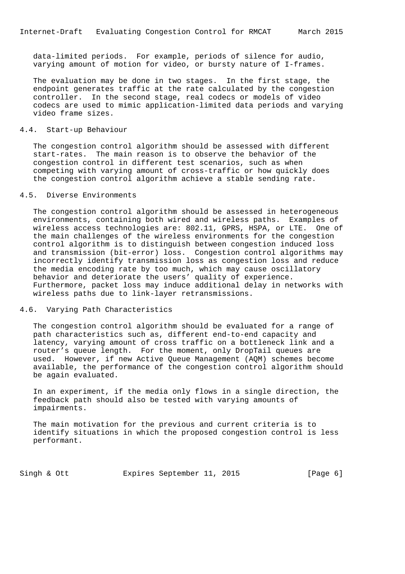data-limited periods. For example, periods of silence for audio, varying amount of motion for video, or bursty nature of I-frames.

 The evaluation may be done in two stages. In the first stage, the endpoint generates traffic at the rate calculated by the congestion controller. In the second stage, real codecs or models of video codecs are used to mimic application-limited data periods and varying video frame sizes.

### 4.4. Start-up Behaviour

 The congestion control algorithm should be assessed with different start-rates. The main reason is to observe the behavior of the congestion control in different test scenarios, such as when competing with varying amount of cross-traffic or how quickly does the congestion control algorithm achieve a stable sending rate.

### 4.5. Diverse Environments

 The congestion control algorithm should be assessed in heterogeneous environments, containing both wired and wireless paths. Examples of wireless access technologies are: 802.11, GPRS, HSPA, or LTE. One of the main challenges of the wireless environments for the congestion control algorithm is to distinguish between congestion induced loss and transmission (bit-error) loss. Congestion control algorithms may incorrectly identify transmission loss as congestion loss and reduce the media encoding rate by too much, which may cause oscillatory behavior and deteriorate the users' quality of experience. Furthermore, packet loss may induce additional delay in networks with wireless paths due to link-layer retransmissions.

### 4.6. Varying Path Characteristics

 The congestion control algorithm should be evaluated for a range of path characteristics such as, different end-to-end capacity and latency, varying amount of cross traffic on a bottleneck link and a router's queue length. For the moment, only DropTail queues are used. However, if new Active Queue Management (AQM) schemes become available, the performance of the congestion control algorithm should be again evaluated.

 In an experiment, if the media only flows in a single direction, the feedback path should also be tested with varying amounts of impairments.

 The main motivation for the previous and current criteria is to identify situations in which the proposed congestion control is less performant.

Singh & Ott **Expires September 11, 2015** [Page 6]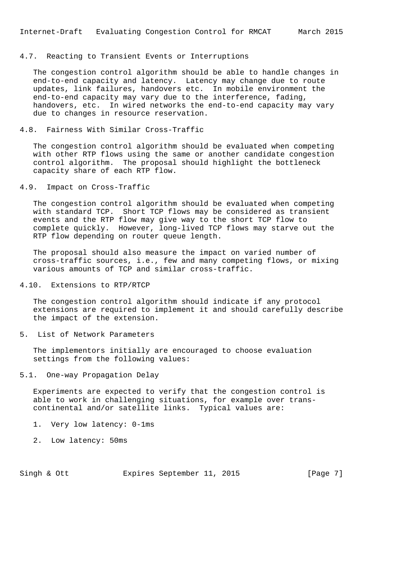### 4.7. Reacting to Transient Events or Interruptions

 The congestion control algorithm should be able to handle changes in end-to-end capacity and latency. Latency may change due to route updates, link failures, handovers etc. In mobile environment the end-to-end capacity may vary due to the interference, fading, handovers, etc. In wired networks the end-to-end capacity may vary due to changes in resource reservation.

#### 4.8. Fairness With Similar Cross-Traffic

 The congestion control algorithm should be evaluated when competing with other RTP flows using the same or another candidate congestion control algorithm. The proposal should highlight the bottleneck capacity share of each RTP flow.

### 4.9. Impact on Cross-Traffic

 The congestion control algorithm should be evaluated when competing with standard TCP. Short TCP flows may be considered as transient events and the RTP flow may give way to the short TCP flow to complete quickly. However, long-lived TCP flows may starve out the RTP flow depending on router queue length.

 The proposal should also measure the impact on varied number of cross-traffic sources, i.e., few and many competing flows, or mixing various amounts of TCP and similar cross-traffic.

#### 4.10. Extensions to RTP/RTCP

 The congestion control algorithm should indicate if any protocol extensions are required to implement it and should carefully describe the impact of the extension.

### 5. List of Network Parameters

 The implementors initially are encouraged to choose evaluation settings from the following values:

#### 5.1. One-way Propagation Delay

 Experiments are expected to verify that the congestion control is able to work in challenging situations, for example over trans continental and/or satellite links. Typical values are:

- 1. Very low latency: 0-1ms
- 2. Low latency: 50ms

Singh & Ott **Expires September 11, 2015** [Page 7]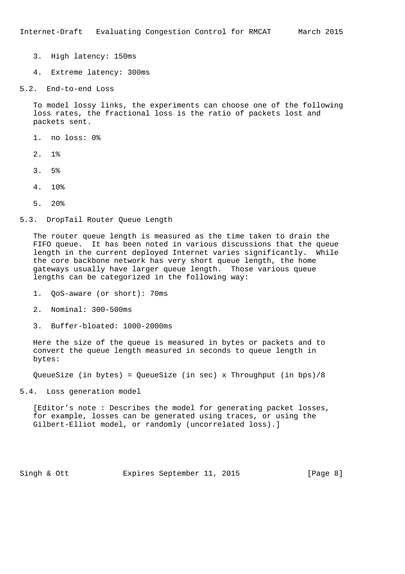- 3. High latency: 150ms
- 4. Extreme latency: 300ms
- 5.2. End-to-end Loss

 To model lossy links, the experiments can choose one of the following loss rates, the fractional loss is the ratio of packets lost and packets sent.

- 1. no loss: 0%
- 2. 1%
- 3. 5%
- 4. 10%
- 5. 20%

#### 5.3. DropTail Router Queue Length

 The router queue length is measured as the time taken to drain the FIFO queue. It has been noted in various discussions that the queue length in the current deployed Internet varies significantly. While the core backbone network has very short queue length, the home gateways usually have larger queue length. Those various queue lengths can be categorized in the following way:

- 1. QoS-aware (or short): 70ms
- 2. Nominal: 300-500ms
- 3. Buffer-bloated: 1000-2000ms

 Here the size of the queue is measured in bytes or packets and to convert the queue length measured in seconds to queue length in bytes:

QueueSize (in bytes) = QueueSize (in sec) x Throughput (in bps)/8

5.4. Loss generation model

 [Editor's note : Describes the model for generating packet losses, for example, losses can be generated using traces, or using the Gilbert-Elliot model, or randomly (uncorrelated loss).]

Singh & Ott **Expires September 11, 2015** [Page 8]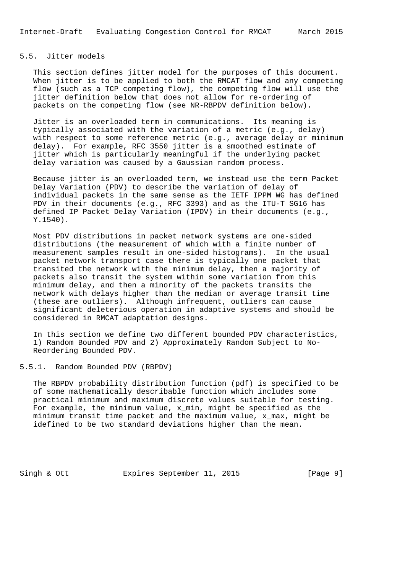### 5.5. Jitter models

 This section defines jitter model for the purposes of this document. When jitter is to be applied to both the RMCAT flow and any competing flow (such as a TCP competing flow), the competing flow will use the jitter definition below that does not allow for re-ordering of packets on the competing flow (see NR-RBPDV definition below).

 Jitter is an overloaded term in communications. Its meaning is typically associated with the variation of a metric (e.g., delay) with respect to some reference metric (e.g., average delay or minimum delay). For example, RFC 3550 jitter is a smoothed estimate of jitter which is particularly meaningful if the underlying packet delay variation was caused by a Gaussian random process.

 Because jitter is an overloaded term, we instead use the term Packet Delay Variation (PDV) to describe the variation of delay of individual packets in the same sense as the IETF IPPM WG has defined PDV in their documents (e.g., RFC 3393) and as the ITU-T SG16 has defined IP Packet Delay Variation (IPDV) in their documents (e.g., Y.1540).

 Most PDV distributions in packet network systems are one-sided distributions (the measurement of which with a finite number of measurement samples result in one-sided histograms). In the usual packet network transport case there is typically one packet that transited the network with the minimum delay, then a majority of packets also transit the system within some variation from this minimum delay, and then a minority of the packets transits the network with delays higher than the median or average transit time (these are outliers). Although infrequent, outliers can cause significant deleterious operation in adaptive systems and should be considered in RMCAT adaptation designs.

 In this section we define two different bounded PDV characteristics, 1) Random Bounded PDV and 2) Approximately Random Subject to No- Reordering Bounded PDV.

5.5.1. Random Bounded PDV (RBPDV)

 The RBPDV probability distribution function (pdf) is specified to be of some mathematically describable function which includes some practical minimum and maximum discrete values suitable for testing. For example, the minimum value, x\_min, might be specified as the minimum transit time packet and the maximum value, x\_max, might be idefined to be two standard deviations higher than the mean.

Singh & Ott **Expires September 11, 2015** [Page 9]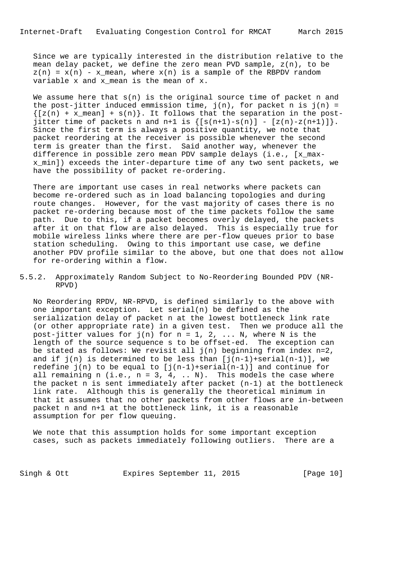Since we are typically interested in the distribution relative to the mean delay packet, we define the zero mean PVD sample, z(n), to be  $z(n) = x(n) - x$  mean, where  $x(n)$  is a sample of the RBPDV random variable x and x\_mean is the mean of x.

We assume here that  $s(n)$  is the original source time of packet n and the post-jitter induced emmission time,  $j(n)$ , for packet n is  $j(n)$  =  $\{[z(n) + x_mean] + s(n)\}\$ . It follows that the separation in the postjitter time of packets n and n+1 is  $\{[s(n+1)-s(n)] - [z(n)-z(n+1)]\}$ . Since the first term is always a positive quantity, we note that packet reordering at the receiver is possible whenever the second term is greater than the first. Said another way, whenever the difference in possible zero mean PDV sample delays (i.e., [x\_max x\_min]) exceeds the inter-departure time of any two sent packets, we have the possibility of packet re-ordering.

 There are important use cases in real networks where packets can become re-ordered such as in load balancing topologies and during route changes. However, for the vast majority of cases there is no packet re-ordering because most of the time packets follow the same path. Due to this, if a packet becomes overly delayed, the packets after it on that flow are also delayed. This is especially true for mobile wireless links where there are per-flow queues prior to base station scheduling. Owing to this important use case, we define another PDV profile similar to the above, but one that does not allow for re-ordering within a flow.

5.5.2. Approximately Random Subject to No-Reordering Bounded PDV (NR- RPVD)

 No Reordering RPDV, NR-RPVD, is defined similarly to the above with one important exception. Let serial(n) be defined as the serialization delay of packet n at the lowest bottleneck link rate (or other appropriate rate) in a given test. Then we produce all the post-jitter values for  $j(n)$  for  $n = 1, 2, ...$  N, where N is the length of the source sequence s to be offset-ed. The exception can be stated as follows: We revisit all  $j(n)$  beginning from index  $n=2$ , and if  $j(n)$  is determined to be less than  $[j(n-1)+\text{serial}(n-1)]$ , we redefine  $j(n)$  to be equal to  $[j(n-1)+\text{serial}(n-1)]$  and continue for all remaining n (i.e.,  $n = 3, 4, ... N$ ). This models the case where the packet n is sent immediately after packet (n-1) at the bottleneck link rate. Although this is generally the theoretical minimum in that it assumes that no other packets from other flows are in-between packet n and n+1 at the bottleneck link, it is a reasonable assumption for per flow queuing.

 We note that this assumption holds for some important exception cases, such as packets immediately following outliers. There are a

Singh & Ott **Expires September 11, 2015** [Page 10]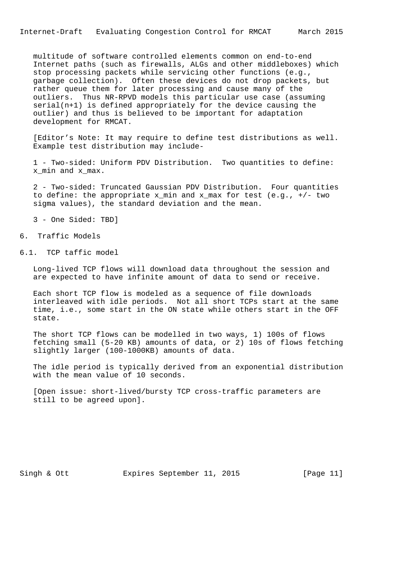multitude of software controlled elements common on end-to-end Internet paths (such as firewalls, ALGs and other middleboxes) which stop processing packets while servicing other functions (e.g., garbage collection). Often these devices do not drop packets, but rather queue them for later processing and cause many of the outliers. Thus NR-RPVD models this particular use case (assuming serial(n+1) is defined appropriately for the device causing the outlier) and thus is believed to be important for adaptation development for RMCAT.

 [Editor's Note: It may require to define test distributions as well. Example test distribution may include-

 1 - Two-sided: Uniform PDV Distribution. Two quantities to define: x\_min and x\_max.

 2 - Two-sided: Truncated Gaussian PDV Distribution. Four quantities to define: the appropriate x\_min and x\_max for test (e.g., +/- two sigma values), the standard deviation and the mean.

3 - One Sided: TBD]

# 6. Traffic Models

6.1. TCP taffic model

 Long-lived TCP flows will download data throughout the session and are expected to have infinite amount of data to send or receive.

 Each short TCP flow is modeled as a sequence of file downloads interleaved with idle periods. Not all short TCPs start at the same time, i.e., some start in the ON state while others start in the OFF state.

 The short TCP flows can be modelled in two ways, 1) 100s of flows fetching small (5-20 KB) amounts of data, or 2) 10s of flows fetching slightly larger (100-1000KB) amounts of data.

 The idle period is typically derived from an exponential distribution with the mean value of 10 seconds.

 [Open issue: short-lived/bursty TCP cross-traffic parameters are still to be agreed upon].

Singh & Ott **Expires September 11, 2015** [Page 11]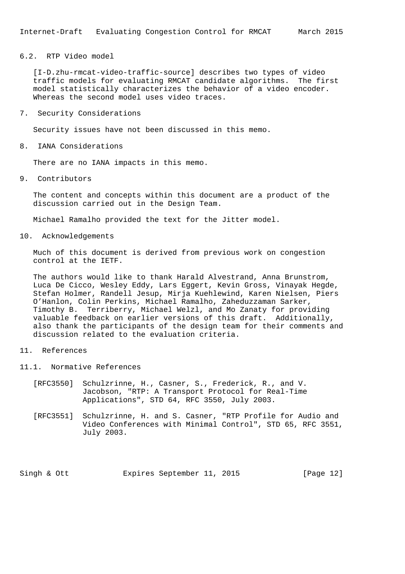6.2. RTP Video model

 [I-D.zhu-rmcat-video-traffic-source] describes two types of video traffic models for evaluating RMCAT candidate algorithms. The first model statistically characterizes the behavior of a video encoder. Whereas the second model uses video traces.

7. Security Considerations

Security issues have not been discussed in this memo.

8. IANA Considerations

There are no IANA impacts in this memo.

9. Contributors

 The content and concepts within this document are a product of the discussion carried out in the Design Team.

Michael Ramalho provided the text for the Jitter model.

10. Acknowledgements

 Much of this document is derived from previous work on congestion control at the IETF.

 The authors would like to thank Harald Alvestrand, Anna Brunstrom, Luca De Cicco, Wesley Eddy, Lars Eggert, Kevin Gross, Vinayak Hegde, Stefan Holmer, Randell Jesup, Mirja Kuehlewind, Karen Nielsen, Piers O'Hanlon, Colin Perkins, Michael Ramalho, Zaheduzzaman Sarker, Timothy B. Terriberry, Michael Welzl, and Mo Zanaty for providing valuable feedback on earlier versions of this draft. Additionally, also thank the participants of the design team for their comments and discussion related to the evaluation criteria.

- 11. References
- 11.1. Normative References
	- [RFC3550] Schulzrinne, H., Casner, S., Frederick, R., and V. Jacobson, "RTP: A Transport Protocol for Real-Time Applications", STD 64, RFC 3550, July 2003.
	- [RFC3551] Schulzrinne, H. and S. Casner, "RTP Profile for Audio and Video Conferences with Minimal Control", STD 65, RFC 3551, July 2003.

Singh & Ott **Expires September 11, 2015** [Page 12]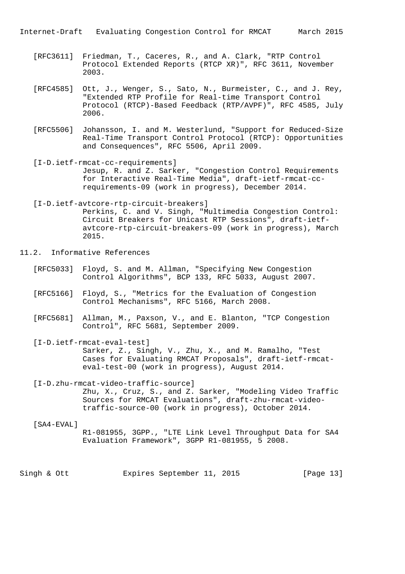Internet-Draft Evaluating Congestion Control for RMCAT March 2015

- [RFC3611] Friedman, T., Caceres, R., and A. Clark, "RTP Control Protocol Extended Reports (RTCP XR)", RFC 3611, November 2003.
- [RFC4585] Ott, J., Wenger, S., Sato, N., Burmeister, C., and J. Rey, "Extended RTP Profile for Real-time Transport Control Protocol (RTCP)-Based Feedback (RTP/AVPF)", RFC 4585, July 2006.
- [RFC5506] Johansson, I. and M. Westerlund, "Support for Reduced-Size Real-Time Transport Control Protocol (RTCP): Opportunities and Consequences", RFC 5506, April 2009.
- [I-D.ietf-rmcat-cc-requirements] Jesup, R. and Z. Sarker, "Congestion Control Requirements for Interactive Real-Time Media", draft-ietf-rmcat-cc requirements-09 (work in progress), December 2014.
- [I-D.ietf-avtcore-rtp-circuit-breakers] Perkins, C. and V. Singh, "Multimedia Congestion Control: Circuit Breakers for Unicast RTP Sessions", draft-ietf avtcore-rtp-circuit-breakers-09 (work in progress), March 2015.
- 11.2. Informative References
	- [RFC5033] Floyd, S. and M. Allman, "Specifying New Congestion Control Algorithms", BCP 133, RFC 5033, August 2007.
	- [RFC5166] Floyd, S., "Metrics for the Evaluation of Congestion Control Mechanisms", RFC 5166, March 2008.
	- [RFC5681] Allman, M., Paxson, V., and E. Blanton, "TCP Congestion Control", RFC 5681, September 2009.
	- [I-D.ietf-rmcat-eval-test] Sarker, Z., Singh, V., Zhu, X., and M. Ramalho, "Test Cases for Evaluating RMCAT Proposals", draft-ietf-rmcat eval-test-00 (work in progress), August 2014.

 [I-D.zhu-rmcat-video-traffic-source] Zhu, X., Cruz, S., and Z. Sarker, "Modeling Video Traffic Sources for RMCAT Evaluations", draft-zhu-rmcat-video traffic-source-00 (work in progress), October 2014.

# [SA4-EVAL] R1-081955, 3GPP., "LTE Link Level Throughput Data for SA4 Evaluation Framework", 3GPP R1-081955, 5 2008.

Singh & Ott **Expires September 11, 2015** [Page 13]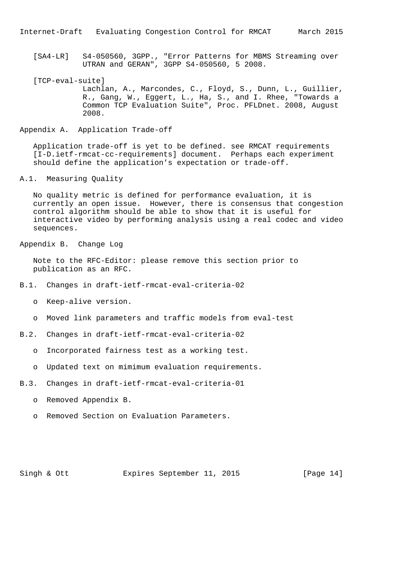[SA4-LR] S4-050560, 3GPP., "Error Patterns for MBMS Streaming over UTRAN and GERAN", 3GPP S4-050560, 5 2008.

[TCP-eval-suite] Lachlan, A., Marcondes, C., Floyd, S., Dunn, L., Guillier, R., Gang, W., Eggert, L., Ha, S., and I. Rhee, "Towards a Common TCP Evaluation Suite", Proc. PFLDnet. 2008, August 2008.

Appendix A. Application Trade-off

 Application trade-off is yet to be defined. see RMCAT requirements [I-D.ietf-rmcat-cc-requirements] document. Perhaps each experiment should define the application's expectation or trade-off.

### A.1. Measuring Quality

 No quality metric is defined for performance evaluation, it is currently an open issue. However, there is consensus that congestion control algorithm should be able to show that it is useful for interactive video by performing analysis using a real codec and video sequences.

Appendix B. Change Log

 Note to the RFC-Editor: please remove this section prior to publication as an RFC.

- B.1. Changes in draft-ietf-rmcat-eval-criteria-02
	- o Keep-alive version.
	- o Moved link parameters and traffic models from eval-test
- B.2. Changes in draft-ietf-rmcat-eval-criteria-02
	- o Incorporated fairness test as a working test.
	- o Updated text on mimimum evaluation requirements.
- B.3. Changes in draft-ietf-rmcat-eval-criteria-01
	- o Removed Appendix B.
	- o Removed Section on Evaluation Parameters.

Singh & Ott **Expires September 11, 2015** [Page 14]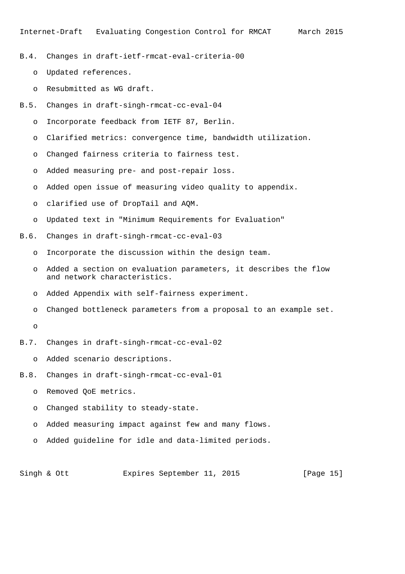- B.4. Changes in draft-ietf-rmcat-eval-criteria-00
	- o Updated references.
	- o Resubmitted as WG draft.
- B.5. Changes in draft-singh-rmcat-cc-eval-04
	- o Incorporate feedback from IETF 87, Berlin.
	- o Clarified metrics: convergence time, bandwidth utilization.
	- o Changed fairness criteria to fairness test.
	- o Added measuring pre- and post-repair loss.
	- o Added open issue of measuring video quality to appendix.
	- o clarified use of DropTail and AQM.
	- o Updated text in "Minimum Requirements for Evaluation"
- B.6. Changes in draft-singh-rmcat-cc-eval-03
	- o Incorporate the discussion within the design team.
	- o Added a section on evaluation parameters, it describes the flow and network characteristics.
	- o Added Appendix with self-fairness experiment.
	- o Changed bottleneck parameters from a proposal to an example set.
	- o
- B.7. Changes in draft-singh-rmcat-cc-eval-02
	- o Added scenario descriptions.
- B.8. Changes in draft-singh-rmcat-cc-eval-01
	- o Removed QoE metrics.
	- o Changed stability to steady-state.
	- o Added measuring impact against few and many flows.
	- o Added guideline for idle and data-limited periods.

Singh & Ott **Expires September 11, 2015** [Page 15]